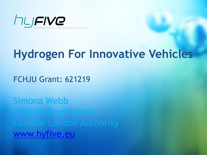

# **Hydrogen For Innovative Vehicles**

FCHJU Grant: 621219

Simona Webb Project Coordinator [www.hyfive.eu](http://www.hyfive.eu/)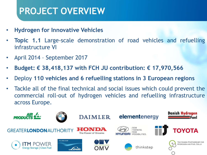### **PROJECT OVERVIEW**

- **Hydrogen for Innovative Vehicles**
- **Topic 1.1** Large-scale demonstration of road vehicles and refuelling infrastructure VI
- April 2014 September 2017
- **Budget: € 38,418,137 with FCH JU contribution: € 17,970,566**
- Deploy **110 vehicles and 6 refuelling stations in 3 European regions**
- Tackle all of the final technical and social issues which could prevent the commercial roll-out of hydrogen vehicles and refuelling infrastructure across Europe.

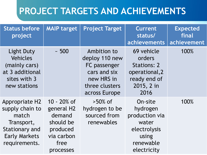| <b>Status before</b><br>project                                                                                                   | <b>MAIP target</b>                                                                              | <b>Project Target</b>                                                                                          | Current<br>status/<br>achievements                                                                  | <b>Expected</b><br>final<br>achievement |
|-----------------------------------------------------------------------------------------------------------------------------------|-------------------------------------------------------------------------------------------------|----------------------------------------------------------------------------------------------------------------|-----------------------------------------------------------------------------------------------------|-----------------------------------------|
| <b>Light Duty</b><br><b>Vehicles</b><br>(mainly cars)<br>at 3 additional<br>sites with 3<br>new stations                          | ~100                                                                                            | Ambition to<br>deploy 110 new<br>FC passenger<br>cars and six<br>new HRS in<br>three clusters<br>across Europe | 69 vehicle<br>orders<br><b>Stations: 2</b><br>operational, 2<br>ready end of<br>2015, 2 in<br>2016  | 100%                                    |
| <b>Appropriate H2</b><br>supply chain to<br>match<br>Transport,<br><b>Stationary and</b><br><b>Early Markets</b><br>requirements. | 10 - 20% of<br>general H2<br>demand<br>should be<br>produced<br>via carbon<br>free<br>processes | $>50\%$ of<br>hydrogen to be<br>sourced from<br>renewables                                                     | On-site<br>hydrogen<br>production via<br>water<br>electrolysis<br>using<br>renewable<br>electricity | 100%                                    |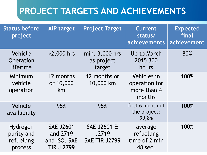| <b>Status before</b><br>project                 | <b>AIP target</b>                                                 | <b>Project Target</b>                        | <b>Current</b><br>status/<br>achievements             | <b>Expected</b><br>final<br>achievement |
|-------------------------------------------------|-------------------------------------------------------------------|----------------------------------------------|-------------------------------------------------------|-----------------------------------------|
| Vehicle<br>Operation<br>lifetime                | >2,000 hrs                                                        | min. 3,000 hrs<br>as project<br>target       | Up to March<br>2015 300<br>hours                      | 80%                                     |
| Minimum<br>vehicle<br>operation                 | 12 months<br>or 10,000<br>km                                      | 12 months or<br>10,000 km                    | Vehicles in<br>operation for<br>more than 4<br>months | 100%                                    |
| Vehicle<br>availability                         | 95%                                                               | 95%                                          | first 6 month of<br>the project:<br>99,8%             | 100%                                    |
| Hydrogen<br>purity and<br>refuelling<br>process | <b>SAE J2601</b><br>and 2719<br>and ISO. SAE<br><b>TIR J 2799</b> | SAE J2601 &<br>J2719<br><b>SAE TIR J2799</b> | average<br>refuelling<br>time of 2 min<br>48 sec.     | 100%                                    |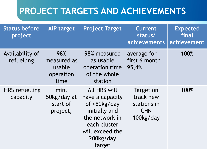| <b>Status before</b><br>project | <b>AIP target</b>                                 | <b>Project Target</b>                                                                                                                               | <b>Current</b><br>status/<br>achievements                        | <b>Expected</b><br>final<br>achievement |
|---------------------------------|---------------------------------------------------|-----------------------------------------------------------------------------------------------------------------------------------------------------|------------------------------------------------------------------|-----------------------------------------|
| Availability of<br>refuelling   | 98%<br>measured as<br>usable<br>operation<br>time | 98% measured<br>as usable<br>operation time<br>of the whole<br>station                                                                              | average for<br>first 6 month<br>95,4%                            | 100%                                    |
| HRS refuelling<br>capacity      | min.<br>50kg/day at<br>start of<br>project,       | <b>All HRS will</b><br>have a capacity<br>of >80kg/day<br>initially and<br>the network in<br>each cluster<br>will exceed the<br>200kg/day<br>target | Target on<br>track new<br>stations in<br><b>CHN</b><br>100kg/day | 100%                                    |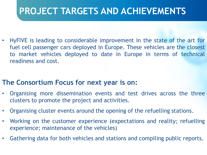• HyFIVE is leading to considerable improvement in the state of the art for fuel cell passenger cars deployed in Europe. These vehicles are the closest to market vehicles deployed to date in Europe in terms of technical readiness and cost.

#### **The Consortium Focus for next year is on:**

- Organising more dissemination events and test drives across the three clusters to promote the project and activities.
- Organising cluster events around the opening of the refuelling stations.
- Working on the customer experience (expectations and reality; refuelling experience; maintenance of the vehicles)
- Gathering data for both vehicles and stations and compiling public reports.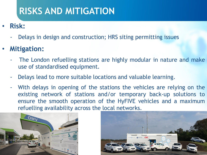## **RISKS AND MITIGATION**

- **Risk:**
	- Delays in design and construction; HRS siting permitting issues
- **Mitigation:**
	- The London refuelling stations are highly modular in nature and make use of standardised equipment.
	- Delays lead to more suitable locations and valuable learning.
	- With delays in opening of the stations the vehicles are relying on the existing network of stations and/or temporary back-up solutions to ensure the smooth operation of the HyFIVE vehicles and a maximum refuelling availability across the local networks.



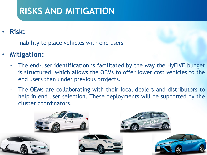## **RISKS AND MITIGATION**

- **Risk:**
	- Inability to place vehicles with end users
- **Mitigation:**
	- The end-user identification is facilitated by the way the HyFIVE budget is structured, which allows the OEMs to offer lower cost vehicles to the end users than under previous projects.
	- The OEMs are collaborating with their local dealers and distributors to help in end user selection. These deployments will be supported by the cluster coordinators.

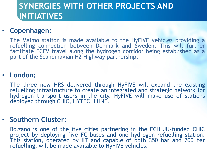### **SYNERGIES WITH OTHER PROJECTS AND INITIATIVES**

#### • **Copenhagen:**

The Malmo station is made available to the HyFIVE vehicles providing a refuelling connection between Denmark and Sweden. This will further facilitate FCEV travel along the hydrogen corridor being established as a part of the Scandinavian H2 Highway partnership.

#### • **London:**

The three new HRS delivered through HyFIVE will expand the existing refuelling infrastructure to create an integrated and strategic network for hydrogen transport users in the city. HyFIVE will make use of stations deployed through CHIC, HYTEC, LHNE.

#### • **Southern Cluster:**

Bolzano is one of the five cities partnering in the FCH JU-funded CHIC project by deploying five FC buses and one hydrogen refuelling station. This station, operated by IIT and capable of both 350 bar and 700 bar refuelling, will be made available to HyFIVE vehicles.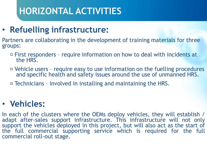# **HORIZONTAL ACTIVITIES**

### • **Refuelling infrastructure:**

Partners are collaborating in the development of training materials for three groups:

- First responders require information on how to deal with incidents at the HRS.
- Vehicle users require easy to use information on the fuelling procedures and specific health and safety issues around the use of unmanned HRS.
- Technicians involved in installing and maintaining the HRS.

### • **Vehicles:**

In each of the clusters where the OEMs deploy vehicles, they will establish / adapt after-sales support infrastructure. This infrastructure will not only support the vehicles deployed in this project, but will also act as the start of the full commercial supporting service which is required for the full commercial roll-out stage.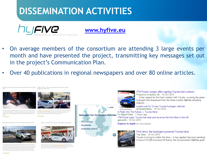## **DISSEMINATION ACTIVITIES**



#### **[www.hyfive.eu](http://www.hyfive.eu/)**

- On average members of the consortium are attending 3 large events per month and have presented the project, transmitting key messages set out in the project's Communication Plan.
- Over 40 publications in regional newspapers and over 80 online articles.